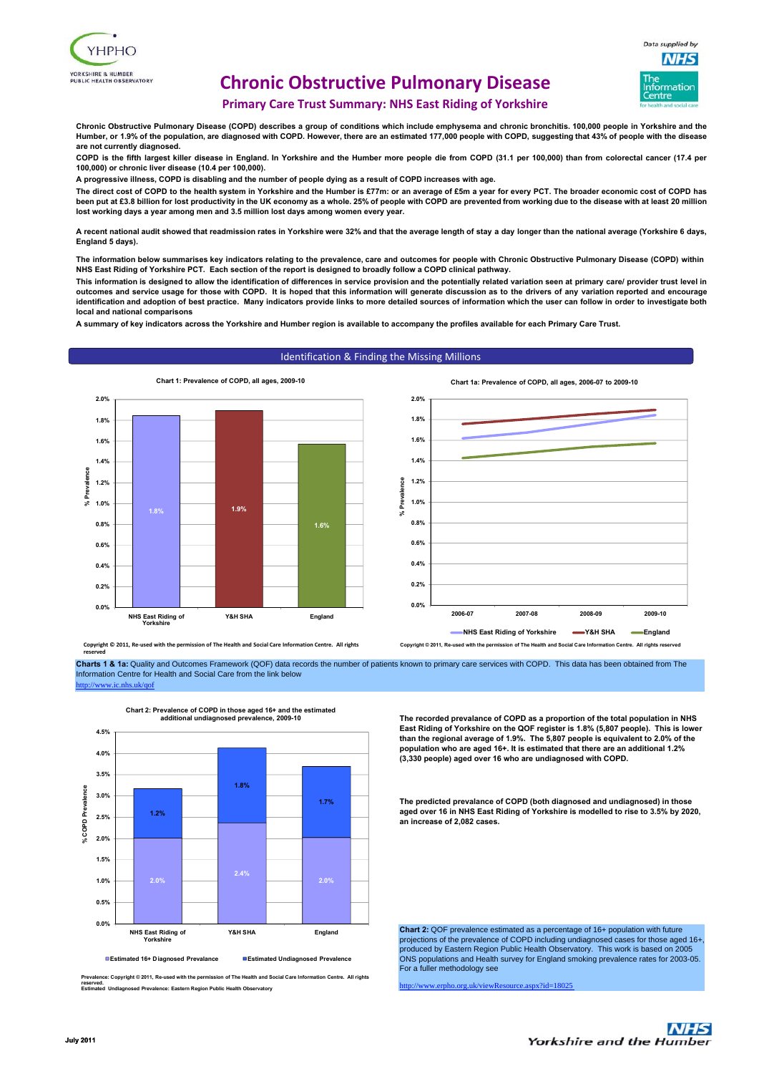



# **Chronic Obstructive Pulmonary Disease**

**Primary Care Trust Summary: NHS East Riding of Yorkshire**

**Chronic Obstructive Pulmonary Disease (COPD) describes a group of conditions which include emphysema and chronic bronchitis. 100,000 people in Yorkshire and the Humber, or 1.9% of the population, are diagnosed with COPD. However, there are an estimated 177,000 people with COPD, suggesting that 43% of people with the disease are not currently diagnosed.**

**COPD is the fifth largest killer disease in England. In Yorkshire and the Humber more people die from COPD (31.1 per 100,000) than from colorectal cancer (17.4 per 100,000) or chronic liver disease (10.4 per 100,000).**

**A progressive illness, COPD is disabling and the number of people dying as a result of COPD increases with age.**

**The direct cost of COPD to the health system in Yorkshire and the Humber is £77m: or an average of £5m a year for every PCT. The broader economic cost of COPD has been put at £3.8 billion for lost productivity in the UK economy as a whole. 25% of people with COPD are prevented from working due to the disease with at least 20 million lost working days a year among men and 3.5 million lost days among women every year.**

**A recent national audit showed that readmission rates in Yorkshire were 32% and that the average length of stay a day longer than the national average (Yorkshire 6 days, England 5 days).**

**The information below summarises key indicators relating to the prevalence, care and outcomes for people with Chronic Obstructive Pulmonary Disease (COPD) within NHS East Riding of Yorkshire PCT. Each section of the report is designed to broadly follow a COPD clinical pathway.**

**This information is designed to allow the identification of differences in service provision and the potentially related variation seen at primary care/ provider trust level in outcomes and service usage for those with COPD. It is hoped that this information will generate discussion as to the drivers of any variation reported and encourage identification and adoption of best practice. Many indicators provide links to more detailed sources of information which the user can follow in order to investigate both local and national comparisons**

**A summary of key indicators across the Yorkshire and Humber region is available to accompany the profiles available for each Primary Care Trust.**

## Identification & Finding the Missing Millions



**Chart 1a: Prevalence of COPD, all ages, 2006-07 to 2009-10**



Copyright © 2011, Re-used with the permission of The Health and Social Care Info **reserved**

**Charts 1 & 1a:** Quality and Outcomes Framework (QOF) data records the number of patients known to primary care services with COPD. This data has been obtained from The Information Centre for Health and Social Care from the link below



**Prevalence: Copyright © 2011, Re-used with the permission of The Health and Social Care Information Centre. All rights** 

**Estimated Undiagnosed Prevalence: Eastern Region Public Health Observatory**

**Chart 2: Prevalence of COPD in those aged 16+ and the estimated additional undiagnosed prevalence, 2009-10**

**The recorded prevalance of COPD as a proportion of the total population in NHS East Riding of Yorkshire on the QOF register is 1.8% (5,807 people). This is lower than the regional average of 1.9%. The 5,807 people is equivalent to 2.0% of the population who are aged 16+. It is estimated that there are an additional 1.2% (3,330 people) aged over 16 who are undiagnosed with COPD.**

**The predicted prevalance of COPD (both diagnosed and undiagnosed) in those aged over 16 in NHS East Riding of Yorkshire is modelled to rise to 3.5% by 2020, an increase of 2,082 cases.**

**Chart 2:** QOF prevalence estimated as a percentage of 16+ population with future projections of the prevalence of COPD including undiagnosed cases for those aged 16+, produced by Eastern Region Public Health Observatory. This work is based on 2005 ONS populations and Health survey for England smoking prevalence rates for 2003-05. For a fuller methodology see

 $snx$ ?id=18025



**reserved.**

http://www.ic.nhs.uk/qof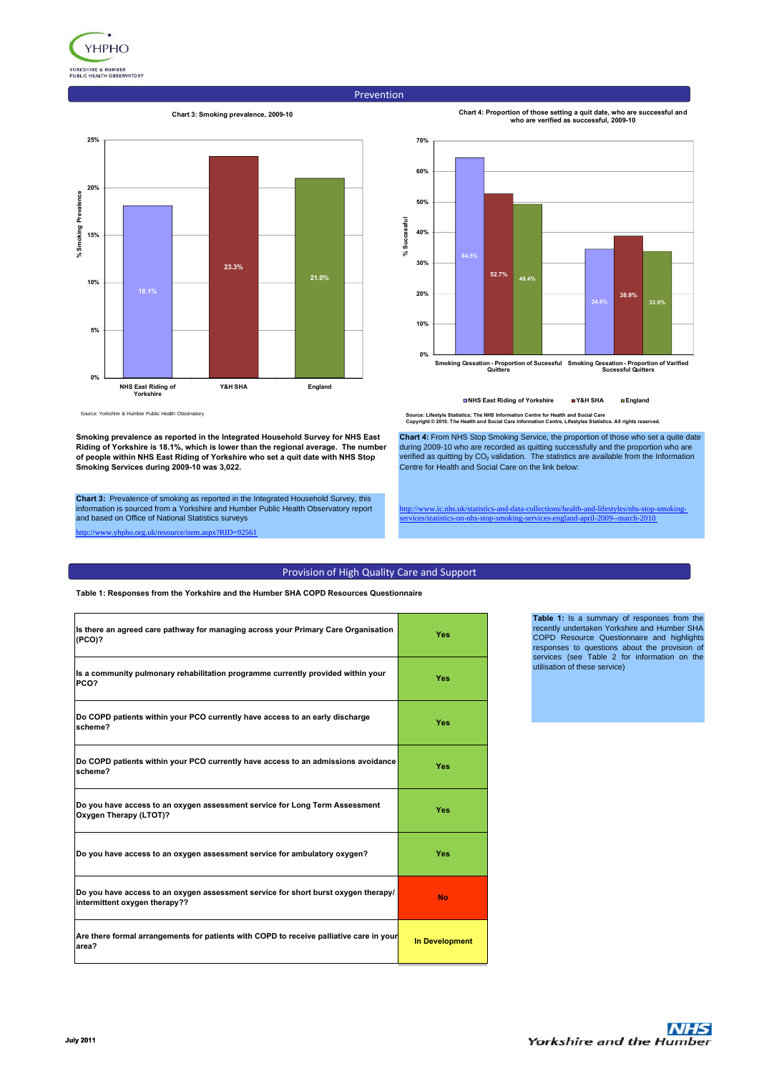

### Prevention

### **Chart 3: Smoking prevalence, 2009-10**





**Chart 4: Proportion of those setting a quit date, who are successful and who are verified as successful, 2009-10**

**Smoking Cessation - Proportion of Sucessful Quitters Smoking Cessation - Proportion of Varified Sucessful Quitters**

**NHS East Riding of Yorkshire Y&H SHA England**

Source: Yorkshire & Humber Public Health Observatory

**Smoking prevalence as reported in the Integrated Household Survey for NHS East Riding of Yorkshire is 18.1%, which is lower than the regional average. The number of people within NHS East Riding of Yorkshire who set a quit date with NHS Stop Smoking Services during 2009-10 was 3,022.**

**Chart 3:** Prevalence of smoking as reported in the Integrated Household Survey, this information is sourced from a Yorkshire and Humber Public Health Observatory report and based on Office of National Statistics surveys

w yhpho.org.uk/resource/item.aspx?RID=92561

**Source: Lifestyle Statistics; The NHS Information Centre for Health and Social Care Copyright © 2010. The Health and Social Care Information Centre, Lifestyles Statistics. All rights reserved.**

**Chart 4:** From NHS Stop Smoking Service, the proportion of those who set a quite date during 2009-10 who are recorded as quitting successfully and the proportion who are verified as quitting by CO<sub>2</sub> validation. The statistics are available from the Information Centre for Health and Social Care on the link below:

.ic.nhs.uk/statistics-and-data-collections/health-and-lifestyles/nhs services/statistics-on-nhs-stop-smoking-services-england-april-2009--march-2010

## Provision of High Quality Care and Support

**Table 1: Responses from the Yorkshire and the Humber SHA COPD Resources Questionnaire**

| Is there an agreed care pathway for managing across your Primary Care Organisation<br>(PCO)?                        | Yes                   |
|---------------------------------------------------------------------------------------------------------------------|-----------------------|
| Is a community pulmonary rehabilitation programme currently provided within your<br>PCO?                            | Yes                   |
| Do COPD patients within your PCO currently have access to an early discharge<br>scheme?                             | Yes                   |
| Do COPD patients within your PCO currently have access to an admissions avoidance<br>scheme?                        | Yes                   |
| Do you have access to an oxygen assessment service for Long Term Assessment<br>Oxygen Therapy (LTOT)?               | Yes                   |
| Do you have access to an oxygen assessment service for ambulatory oxygen?                                           | Yes                   |
| Do you have access to an oxygen assessment service for short burst oxygen therapy/<br>intermittent oxygen therapy?? | <b>No</b>             |
| Are there formal arrangements for patients with COPD to receive palliative care in your<br>area?                    | <b>In Development</b> |

**Table 1:** Is a summary of responses from the recently undertaken Yorkshire and Humber SHA COPD Resource Questionnaire and highlights responses to questions about the provision of services (see Table 2 for information on the utilisation of these service)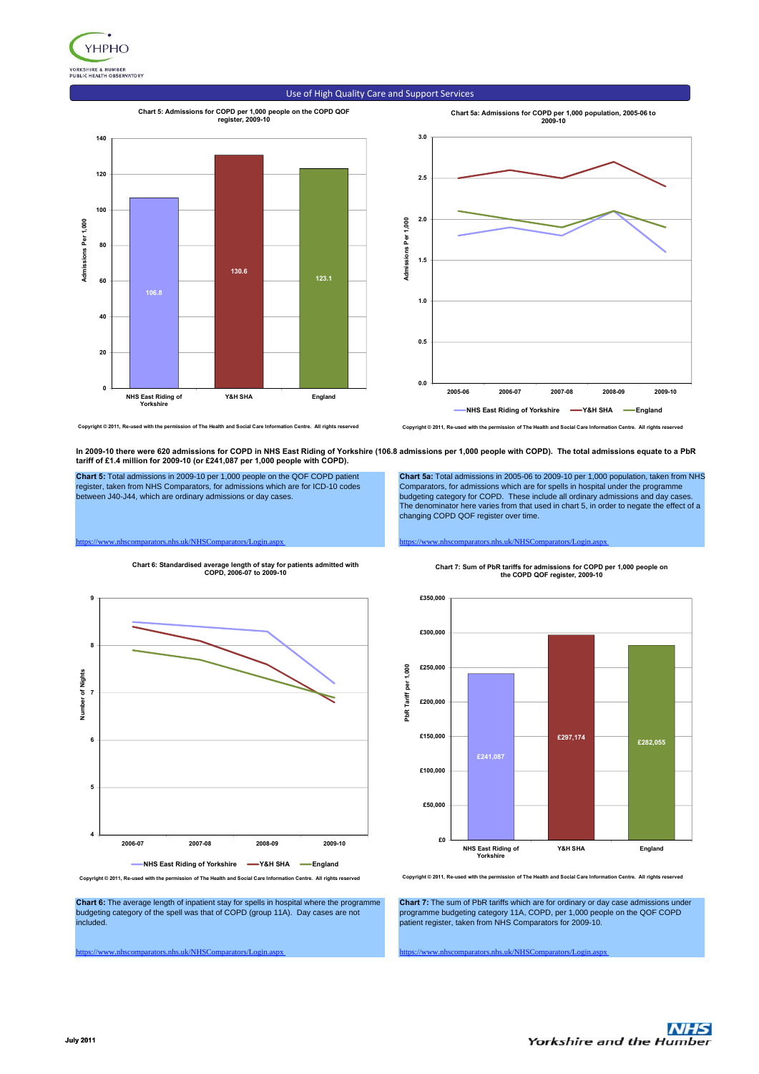

#### **Chart 5: Admissions for COPD per 1,000 people on the COPD QOF register, 2009-10 Chart 5a: Admissions for COPD per 1,000 population, 2005-06 to 2009-10 140 3.0 120 2.5 100 2.0** Admissions Per 1,000 Admissions Per 1,000 **Admissions Per 1,000 Admissions Per 1,000 80 1.5 130.6 123.1 60 106.8 1.0 40 0.5 20 0.0 0 2005-06 2006-07 2007-08 2008-09 2009-10 Y&H SHA England NHS East Riding of Yorkshire NHS East Riding of Yorkshire -X&H SHA -England**

Use of High Quality Care and Support Services

Copyright © 2011, Re-used with the permission of The Health and Social Care Information Centre. All rights rese

**In 2009-10 there were 620 admissions for COPD in NHS East Riding of Yorkshire (106.8 admissions per 1,000 people with COPD). The total admissions equate to a PbR** 

changing COPD QOF register over time.

**tariff of £1.4 million for 2009-10 (or £241,087 per 1,000 people with COPD).**

**Chart 5:** Total admissions in 2009-10 per 1,000 people on the QOF COPD patient<br>register, taken from NHS Comparators, for admissions which are for ICD-10 codes<br>between J40-J44, which are ordinary admissions or day cases.



**Copyright © 2011, Re-used with the permission of The Health and Social Care Information Centre. All rights reserved**

**Chart 6:** The average length of inpatient stay for spells in hospital where the programme budgeting category of the spell was that of COPD (group 11A). Day cases are not included.

https://www.nhscomparators.nhs.uk/NHSComparators/Login.aspx https://www.nhscomparators.nhs.uk/NHSComparators/Login.aspx

**Chart 7:** The sum of PbR tariffs which are for ordinary or day case admissions under programme budgeting category 11A, COPD, per 1,000 people on the QOF COPD patient register, taken from NHS Comparators for 2009-10.

https://www.nhscomparators.nhs.uk/NHSComparators/Login.aspx https://www.nhscomparators.nhs.uk/NHSComparators/Login.aspx **Chart 7: Sum of PbR tariffs for admissions for COPD per 1,000 people on the COPD QOF register, 2009-10**

**Chart 5a:** Total admissions in 2005-06 to 2009-10 per 1,000 population, taken from NHS Comparators, for admissions which are for spells in hospital under the programme budgeting category for COPD. These include all ordinary admissions and day cases. The denominator here varies from that used in chart 5, in order to negate the effect of a

**Copyright © 2011, Re-used with the permission of The Health and Social Care Information Centre. All rights reserved**





**Chart 6: Standardised average length of stay for patients admitted with COPD, 2006-07 to 2009-10**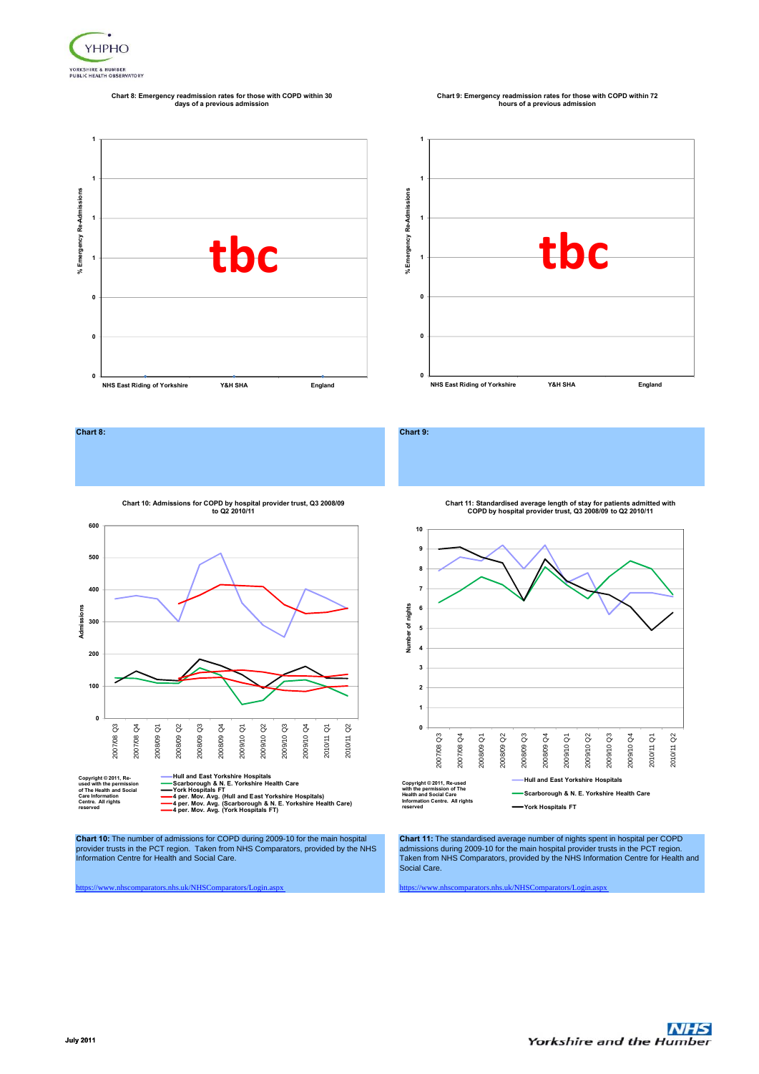

# **Chart 8: Emergency readmission rates for those with COPD within 30 days of a previous admission**

# **Chart 9: Emergency readmission rates for those with COPD within 72 hours of a previous admission**











**used with the permission of The Health and Social Care Information Centre. All rights reserved**

Hull and East Yorkshire Hospitals<br>Scarborough & N. E. Yorkshire Health Care<br>York Hospitals FT<br>4 per. Mov. Avg. (Brull and East Yorkshire Hospitals)<br>4 per. Mov. Avg. (York Hospitals FT)<br>4 per. Mov. Avg. (York Hospitals FT)

**Chart 10:** The number of admissions for COPD during 2009-10 for the main hospital provider trusts in the PCT region. Taken from NHS Comparators, provided by the NHS Information Centre for Health and Social Care.

**Chart 11: Standardised average length of stay for patients admitted with COPD by hospital provider trust, Q3 2008/09 to Q2 2010/11**



**Chart 11:** The standardised average number of nights spent in hospital per COPD admissions during 2009-10 for the main hospital provider trusts in the PCT region. Taken from NHS Comparators, provided by the NHS Information Centre for Health and Social Care.

https://www.nhscomparators.nhs.uk/NHSComparators/Login.aspx https://www.nhscomparators.nhs.uk/NHSComparators/Login.aspx

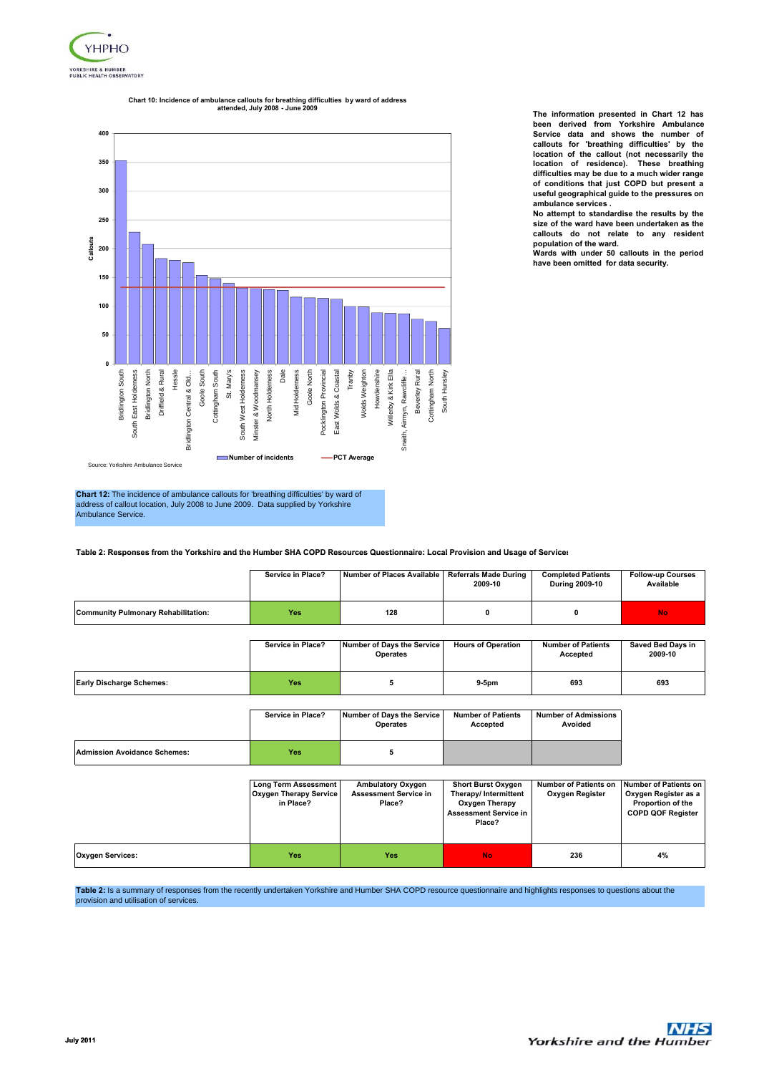

#### **400 350 300 250** ≝<br>- 200<br>ပ **150 100 50 0** Hessle Tranby Willerby & Kirk Ella Driffield & Rural East Wolds & Coastal Beverley Rural Bridlington South Bridlington South East Holderness South East Holderness Bridlington North Bridlington North Driffield & Rural Goole South Goole South Cottingham South Cottingham South St. Mary's South West Holderness Minster & Woodmansey Minster & Woodmansey North Holderness North Holderness Dale Mid Holderness Goole North Goole North Pocklington Provincial Pocklington Provincial East Wolds & Coastal Wolds Weighton Wolds Weighton Howdenshire Howdenshire Willerby & Kirk Ella Snaith, Airmyn, Rawcliffe… Beverley Rural Cottingham North Cottingham North South Hunsley South Hunsley Bridlington Central & Old… South West Holderness Mid Holderness Bridlington Central & Old. Airmyn, Rawcliffe. South E Snaith,

**Chart 10: Incidence of ambulance callouts for breathing difficulties by ward of address attended, July 2008 - June 2009**

**The information presented in Chart 12 has been derived from Yorkshire Ambulance Service data and shows the number of callouts for 'breathing difficulties' by the location of the callout (not necessarily the location of residence). These breathing difficulties may be due to a much wider range of conditions that just COPD but present a useful geographical guide to the pressures on ambulance services .**

**No attempt to standardise the results by the size of the ward have been undertaken as the callouts do not relate to any resident population of the ward.**

**Wards with under 50 callouts in the period have been omitted for data security.**

**Chart 12:** The incidence of ambulance callouts for 'breathing difficulties' by ward of address of callout location, July 2008 to June 2009. Data supplied by Yorkshire Ambulance Service.

Source: Yorkshire Ambulance Servic

Table 2: Responses from the Yorkshire and the Humber SHA COPD Resources Questionnaire: Local Provision and Usage of Services

**Number of incidents PCT Average** 

|                                     | Service in Place? | Number of Places Available   Referrals Made During | 2009-10 | <b>Completed Patients</b><br><b>During 2009-10</b> | <b>Follow-up Courses</b><br>Available |
|-------------------------------------|-------------------|----------------------------------------------------|---------|----------------------------------------------------|---------------------------------------|
| Community Pulmonary Rehabilitation: | Yes               | 128                                                |         |                                                    | <b>No</b>                             |

|                                 | Service in Place? | Number of Davs the Service<br>Operates | <b>Hours of Operation</b> | <b>Number of Patients</b><br><b>Accepted</b> | <b>Saved Bed Davs in</b><br>2009-10 |
|---------------------------------|-------------------|----------------------------------------|---------------------------|----------------------------------------------|-------------------------------------|
| <b>Early Discharge Schemes:</b> | <b>Yes</b>        |                                        | $9-5pm$                   | 693                                          | 693                                 |

|                                     | Service in Place? | Number of Days the Service<br><b>Operates</b> | <b>Number of Patients</b><br>Accepted | <b>Number of Admissions</b><br>Avoided |
|-------------------------------------|-------------------|-----------------------------------------------|---------------------------------------|----------------------------------------|
| <b>Admission Avoidance Schemes:</b> | Yes               |                                               |                                       |                                        |

|                         | <b>Long Term Assessment</b><br><b>Oxygen Therapy Service</b><br>in Place? | <b>Ambulatory Oxygen</b><br><b>Assessment Service in</b><br>Place? | <b>Short Burst Oxygen</b><br>Therapy/ Intermittent<br>Oxygen Therapy<br><b>Assessment Service in</b><br>Place? | Number of Patients on<br>Oxygen Register | Number of Patients on<br>Oxygen Register as a<br><b>Proportion of the</b><br><b>COPD QOF Register</b> |
|-------------------------|---------------------------------------------------------------------------|--------------------------------------------------------------------|----------------------------------------------------------------------------------------------------------------|------------------------------------------|-------------------------------------------------------------------------------------------------------|
| <b>Oxygen Services:</b> | Yes <sup>®</sup>                                                          | Yes                                                                | <b>No</b>                                                                                                      | 236                                      | 4%                                                                                                    |

Table 2: Is a summary of responses from the recently undertaken Yorkshire and Humber SHA COPD resource questionnaire and highlights responses to questions about the provision and utilisation of services.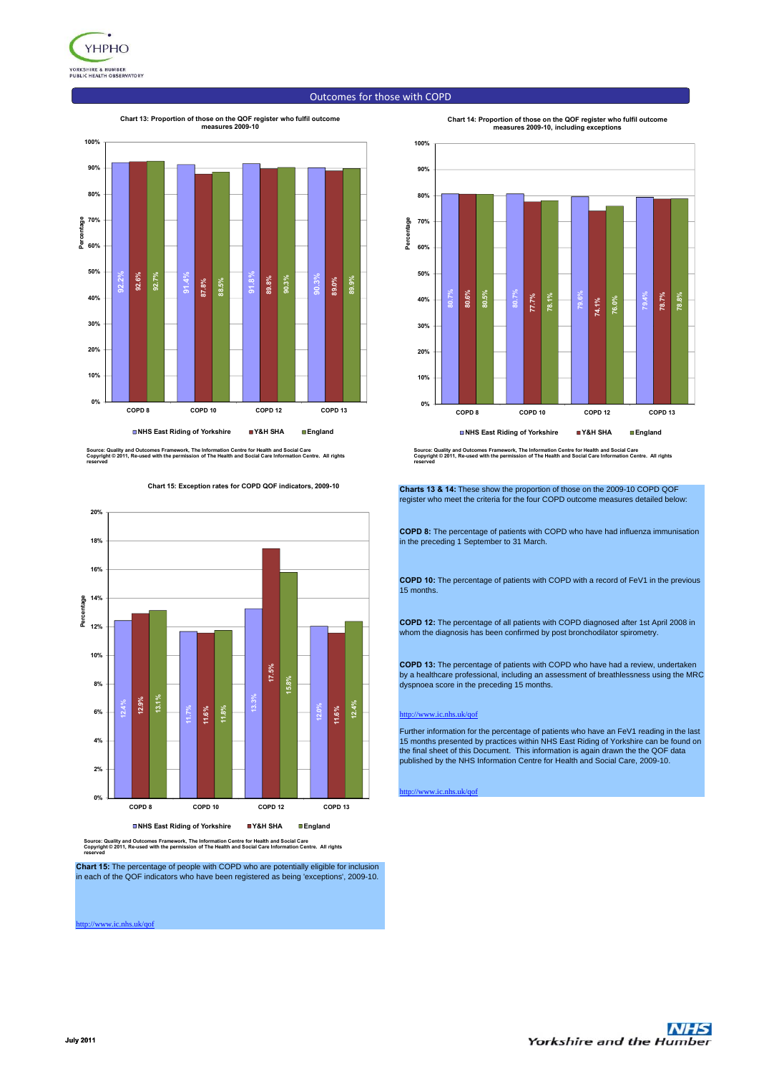

# Outcomes for those with COPD

#### **Chart 13: Proportion of those on the QOF register who fulfil outcome**



Source: Quality and Outcomes Framework, The Information Centre for Health and Social Care<br>Copyright © 2011, Re-used with the permission of The Health and Social Care Information Centre. All rights<br>reserved

**Chart 15: Exception rates for COPD QOF indicators, 2009-10**



Source: Quality and Outcomes Framework, The Information Centre for Health and Social Care<br>Copyright © 2011, Re-used with the permission of The Health and Social Care Information Centre. All rights<br>reserved

**Chart 15:** The percentage of people with COPD who are potentially eligible for inclusion in each of the QOF indicators who have been registered as being 'exceptions', 2009-10.

http://www.ic.nhs.uk/qof



Source: Quality and Outcomes Framework, The Information Centre for Health and Social Care<br>Copyright © 2011, Re-used with the permission of The Health and Social Care Information Centre. All rights<br>reserved

**Charts 13 & 14:** These show the proportion of those on the 2009-10 COPD QOF register who meet the criteria for the four COPD outcome measures detailed below:

**COPD 8:** The percentage of patients with COPD who have had influenza immunisation in the preceding 1 September to 31 March.

**COPD 10:** The percentage of patients with COPD with a record of FeV1 in the previous 15 months.

**COPD 12:** The percentage of all patients with COPD diagnosed after 1st April 2008 in whom the diagnosis has been confirmed by post bronchodilator spirometry.

**COPD 13:** The percentage of patients with COPD who have had a review, undertaken by a healthcare professional, including an assessment of breathlessness using the MRC dyspnoea score in the preceding 15 months.

#### ww.ic.nhs.uk/ $\alpha$ of

Further information for the percentage of patients who have an FeV1 reading in the last<br>15 months presented by practices within NHS East Riding of Yorkshire can be found on<br>the final sheet of this Document. This informatio

http://www.ic.nhs.uk/qof

**Chart 14: Proportion of those on the QOF register who fulfil outcome measures 2009-10, including exceptions**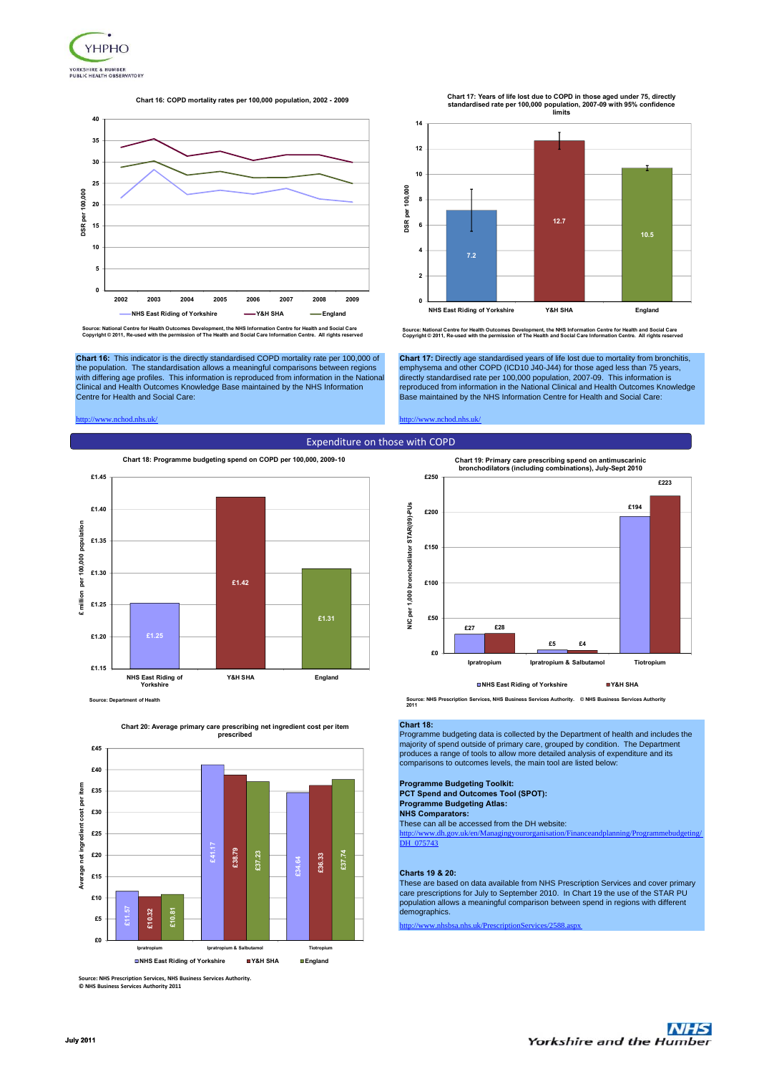

### **Chart 16: COPD mortality rates per 100,000 population, 2002 - 2009**



Source: National Centre for Health Outcomes Development, the NHS Information Centre for Health and Social Care<br>Copyright © 2011, Re-used with the permission of The Health and Social Care Information Centre. All rights re

**Chart 16:** This indicator is the directly standardised COPD mortality rate per 100,000 of the population. The standardisation allows a meaningful comparisons between regions with differing age profiles. This information is reproduced from information in the National Clinical and Health Outcomes Knowledge Base maintained by the NHS Information Centre for Health and Social Care:

#### http://www.nchod.nhs.uk/ http://www.nchod.nhs.uk/



**Source: Department of Health**



**Chart 20: Average primary care prescribing net ingredient cost per item prescribed**

**Source: NHS Prescription Services, NHS Business Services Authority. © NHS Business Services Authority 2011**

**Chart 17: Years of life lost due to COPD in those aged under 75, directly standardised rate per 100,000 population, 2007-09 with 95% confidence limits**



Source: National Centre for Health Outcomes Development, the NHS Information Centre for Health and Social Care<br>Copyright © 2011, Re-used with the permission of The Health and Social Care Information Centre. All rights re

**Chart 17:** Directly age standardised years of life lost due to mortality from bronchitis, emphysema and other COPD (ICD10 J40-J44) for those aged less than 75 years,<br>directly standardised rate per 100,000 population, 2007-09. This information is<br>reproduced from information in the National Clinical and Health O Base maintained by the NHS Information Centre for Health and Social Care:



**Source: NHS Prescription Services, NHS Business Services Authority. © NHS Business Services Authority 2011**

#### **Chart 18:**

Programme budgeting data is collected by the Department of health and includes the majority of spend outside of primary care, grouped by condition. The Department produces a range of tools to allow more detailed analysis of expenditure and its comparisons to outcomes levels, the main tool are listed below:

# **Programme Budgeting Toolkit:**

These can all be accessed from the DH website: **PCT Spend and Outcomes Tool (SPOT): Programme Budgeting Atlas: NHS Comparators:**

http://www.dh.gov.uk/en/Managingyourorganisation/Financeandplanning/Programmebudgeting/ DH 075743

### **Charts 19 & 20:**

These are based on data available from NHS Prescription Services and cover primary care prescriptions for July to September 2010. In Chart 19 the use of the STAR PU population allows a meaningful comparison between spend in regions with different .<br>demographics.

http://www.nhs.uk/PrescriptionServices/2588.